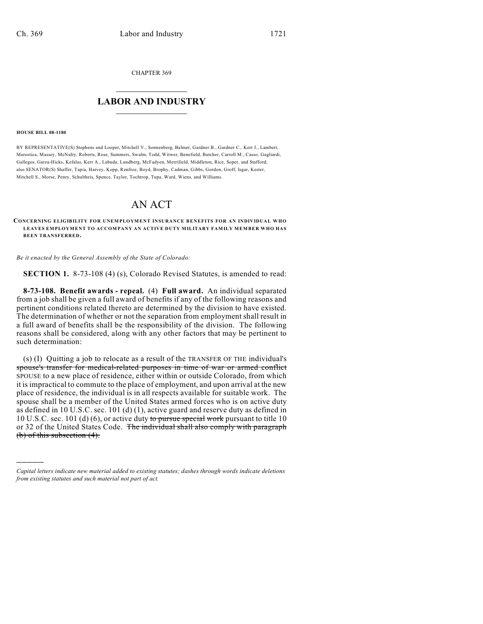CHAPTER 369

## $\mathcal{L}_\text{max}$  . The set of the set of the set of the set of the set of the set of the set of the set of the set of the set of the set of the set of the set of the set of the set of the set of the set of the set of the set **LABOR AND INDUSTRY**  $\frac{1}{\sqrt{2}}$  ,  $\frac{1}{\sqrt{2}}$  ,  $\frac{1}{\sqrt{2}}$  ,  $\frac{1}{\sqrt{2}}$  ,  $\frac{1}{\sqrt{2}}$  ,  $\frac{1}{\sqrt{2}}$

## **HOUSE BILL 08-1180**

)))))

BY REPRESENTATIVE(S) Stephens and Looper, Mitchell V., Sonnenberg, Balmer, Gardner B., Gardner C., Kerr J., Lambert, Marostica, Massey, McNulty, Roberts, Rose, Summers, Swalm, Todd, Witwer, Benefield, Butcher, Carroll M., Casso, Gagliardi, Gallegos, Garza-Hicks, Kefalas, Kerr A., Labuda, Lundberg, McFadyen, Merrifield, Middleton, Rice, Soper, and Stafford; also SENATOR(S) Shaffer, Tapia, Harvey, Kopp, Renfroe, Boyd, Brophy, Cadman, Gibbs, Gordon, Groff, Isgar, Kester, Mitchell S., Morse, Penry, Schultheis, Spence, Taylor, Tochtrop, Tupa, Ward, Wiens, and Williams.

## AN ACT

## **CONCERNING ELIGIBILITY FOR UNEMPLOYMENT INSURANCE BENEFITS FOR AN INDIVIDUAL WHO LEAVES EMPLOYMENT TO ACCOMPANY AN ACTIVE DUTY MILITARY FAMILY MEMBER WHO HAS BEEN TRANSFERRED.**

*Be it enacted by the General Assembly of the State of Colorado:*

**SECTION 1.** 8-73-108 (4) (s), Colorado Revised Statutes, is amended to read:

**8-73-108. Benefit awards - repeal.** (4) **Full award.** An individual separated from a job shall be given a full award of benefits if any of the following reasons and pertinent conditions related thereto are determined by the division to have existed. The determination of whether or not the separation from employment shall result in a full award of benefits shall be the responsibility of the division. The following reasons shall be considered, along with any other factors that may be pertinent to such determination:

(s) (I) Quitting a job to relocate as a result of the TRANSFER OF THE individual's spouse's transfer for medical-related purposes in time of war or armed conflict SPOUSE to a new place of residence, either within or outside Colorado, from which it is impractical to commute to the place of employment, and upon arrival at the new place of residence, the individual is in all respects available for suitable work. The spouse shall be a member of the United States armed forces who is on active duty as defined in 10 U.S.C. sec. 101 (d) (1), active guard and reserve duty as defined in 10 U.S.C. sec. 101 (d) (6), or active duty to pursue special work pursuant to title 10 or 32 of the United States Code. The individual shall also comply with paragraph (b) of this subsection (4).

*Capital letters indicate new material added to existing statutes; dashes through words indicate deletions from existing statutes and such material not part of act.*